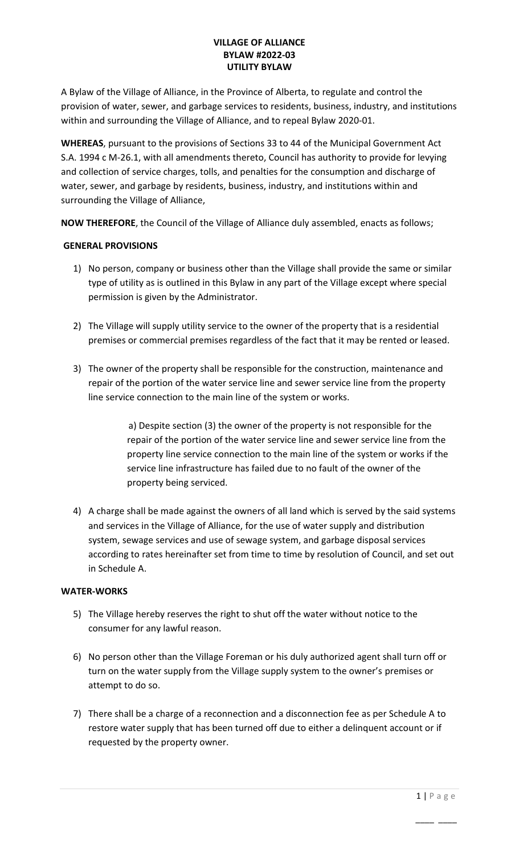## **VILLAGE OF ALLIANCE BYLAW #2022-03 UTILITY BYLAW**

A Bylaw of the Village of Alliance, in the Province of Alberta, to regulate and control the provision of water, sewer, and garbage services to residents, business, industry, and institutions within and surrounding the Village of Alliance, and to repeal Bylaw 2020-01.

**WHEREAS**, pursuant to the provisions of Sections 33 to 44 of the Municipal Government Act S.A. 1994 c M-26.1, with all amendments thereto, Council has authority to provide for levying and collection of service charges, tolls, and penalties for the consumption and discharge of water, sewer, and garbage by residents, business, industry, and institutions within and surrounding the Village of Alliance,

**NOW THEREFORE**, the Council of the Village of Alliance duly assembled, enacts as follows;

## **GENERAL PROVISIONS**

- 1) No person, company or business other than the Village shall provide the same or similar type of utility as is outlined in this Bylaw in any part of the Village except where special permission is given by the Administrator.
- 2) The Village will supply utility service to the owner of the property that is a residential premises or commercial premises regardless of the fact that it may be rented or leased.
- 3) The owner of the property shall be responsible for the construction, maintenance and repair of the portion of the water service line and sewer service line from the property line service connection to the main line of the system or works.

 a) Despite section (3) the owner of the property is not responsible for the repair of the portion of the water service line and sewer service line from the property line service connection to the main line of the system or works if the service line infrastructure has failed due to no fault of the owner of the property being serviced.

4) A charge shall be made against the owners of all land which is served by the said systems and services in the Village of Alliance, for the use of water supply and distribution system, sewage services and use of sewage system, and garbage disposal services according to rates hereinafter set from time to time by resolution of Council, and set out in Schedule A.

### **WATER-WORKS**

- 5) The Village hereby reserves the right to shut off the water without notice to the consumer for any lawful reason.
- 6) No person other than the Village Foreman or his duly authorized agent shall turn off or turn on the water supply from the Village supply system to the owner's premises or attempt to do so.
- 7) There shall be a charge of a reconnection and a disconnection fee as per Schedule A to restore water supply that has been turned off due to either a delinquent account or if requested by the property owner.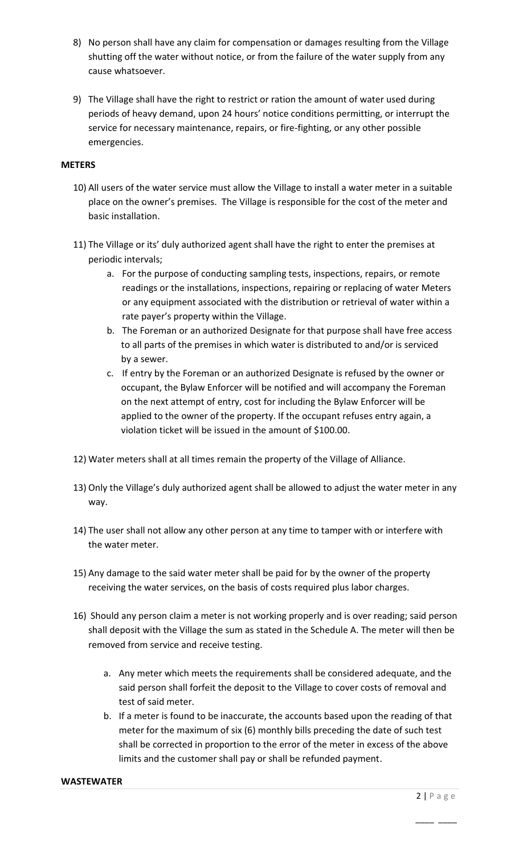- 8) No person shall have any claim for compensation or damages resulting from the Village shutting off the water without notice, or from the failure of the water supply from any cause whatsoever.
- 9) The Village shall have the right to restrict or ration the amount of water used during periods of heavy demand, upon 24 hours' notice conditions permitting, or interrupt the service for necessary maintenance, repairs, or fire-fighting, or any other possible emergencies.

### **METERS**

- 10) All users of the water service must allow the Village to install a water meter in a suitable place on the owner's premises. The Village is responsible for the cost of the meter and basic installation.
- 11) The Village or its' duly authorized agent shall have the right to enter the premises at periodic intervals;
	- a. For the purpose of conducting sampling tests, inspections, repairs, or remote readings or the installations, inspections, repairing or replacing of water Meters or any equipment associated with the distribution or retrieval of water within a rate payer's property within the Village.
	- b. The Foreman or an authorized Designate for that purpose shall have free access to all parts of the premises in which water is distributed to and/or is serviced by a sewer.
	- c. If entry by the Foreman or an authorized Designate is refused by the owner or occupant, the Bylaw Enforcer will be notified and will accompany the Foreman on the next attempt of entry, cost for including the Bylaw Enforcer will be applied to the owner of the property. If the occupant refuses entry again, a violation ticket will be issued in the amount of \$100.00.
- 12) Water meters shall at all times remain the property of the Village of Alliance.
- 13) Only the Village's duly authorized agent shall be allowed to adjust the water meter in any way.
- 14) The user shall not allow any other person at any time to tamper with or interfere with the water meter.
- 15) Any damage to the said water meter shall be paid for by the owner of the property receiving the water services, on the basis of costs required plus labor charges.
- 16) Should any person claim a meter is not working properly and is over reading; said person shall deposit with the Village the sum as stated in the Schedule A. The meter will then be removed from service and receive testing.
	- a. Any meter which meets the requirements shall be considered adequate, and the said person shall forfeit the deposit to the Village to cover costs of removal and test of said meter.
	- b. If a meter is found to be inaccurate, the accounts based upon the reading of that meter for the maximum of six (6) monthly bills preceding the date of such test shall be corrected in proportion to the error of the meter in excess of the above limits and the customer shall pay or shall be refunded payment.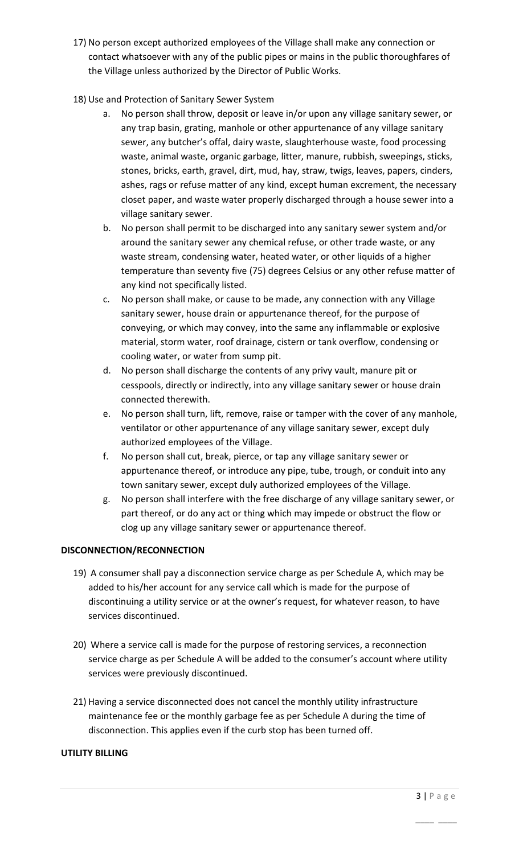- 17) No person except authorized employees of the Village shall make any connection or contact whatsoever with any of the public pipes or mains in the public thoroughfares of the Village unless authorized by the Director of Public Works.
- 18) Use and Protection of Sanitary Sewer System
	- a. No person shall throw, deposit or leave in/or upon any village sanitary sewer, or any trap basin, grating, manhole or other appurtenance of any village sanitary sewer, any butcher's offal, dairy waste, slaughterhouse waste, food processing waste, animal waste, organic garbage, litter, manure, rubbish, sweepings, sticks, stones, bricks, earth, gravel, dirt, mud, hay, straw, twigs, leaves, papers, cinders, ashes, rags or refuse matter of any kind, except human excrement, the necessary closet paper, and waste water properly discharged through a house sewer into a village sanitary sewer.
	- b. No person shall permit to be discharged into any sanitary sewer system and/or around the sanitary sewer any chemical refuse, or other trade waste, or any waste stream, condensing water, heated water, or other liquids of a higher temperature than seventy five (75) degrees Celsius or any other refuse matter of any kind not specifically listed.
	- c. No person shall make, or cause to be made, any connection with any Village sanitary sewer, house drain or appurtenance thereof, for the purpose of conveying, or which may convey, into the same any inflammable or explosive material, storm water, roof drainage, cistern or tank overflow, condensing or cooling water, or water from sump pit.
	- d. No person shall discharge the contents of any privy vault, manure pit or cesspools, directly or indirectly, into any village sanitary sewer or house drain connected therewith.
	- e. No person shall turn, lift, remove, raise or tamper with the cover of any manhole, ventilator or other appurtenance of any village sanitary sewer, except duly authorized employees of the Village.
	- f. No person shall cut, break, pierce, or tap any village sanitary sewer or appurtenance thereof, or introduce any pipe, tube, trough, or conduit into any town sanitary sewer, except duly authorized employees of the Village.
	- g. No person shall interfere with the free discharge of any village sanitary sewer, or part thereof, or do any act or thing which may impede or obstruct the flow or clog up any village sanitary sewer or appurtenance thereof.

# **DISCONNECTION/RECONNECTION**

- 19) A consumer shall pay a disconnection service charge as per Schedule A, which may be added to his/her account for any service call which is made for the purpose of discontinuing a utility service or at the owner's request, for whatever reason, to have services discontinued.
- 20) Where a service call is made for the purpose of restoring services, a reconnection service charge as per Schedule A will be added to the consumer's account where utility services were previously discontinued.
- 21) Having a service disconnected does not cancel the monthly utility infrastructure maintenance fee or the monthly garbage fee as per Schedule A during the time of disconnection. This applies even if the curb stop has been turned off.

 $\mathcal{L}_\mathcal{L}$  , we can also the contract of the contract of the contract of the contract of the contract of the contract of the contract of the contract of the contract of the contract of the contract of the contract of

# **UTILITY BILLING**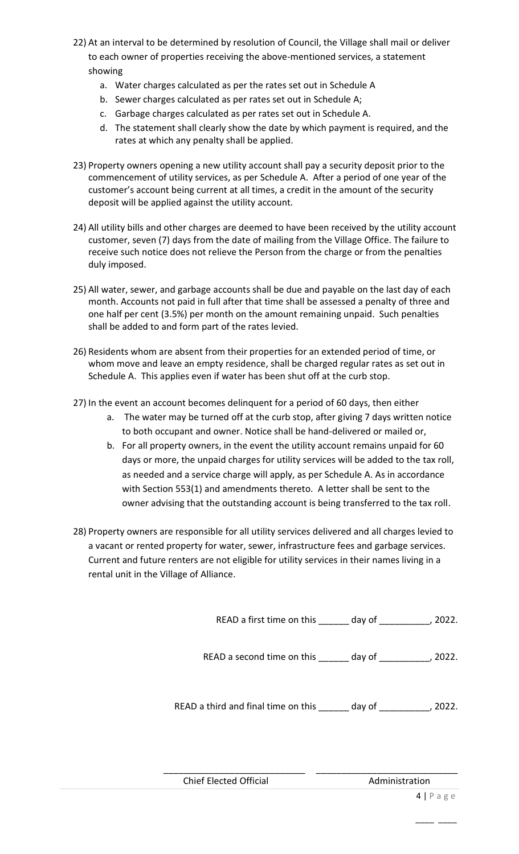- 22) At an interval to be determined by resolution of Council, the Village shall mail or deliver to each owner of properties receiving the above-mentioned services, a statement showing
	- a. Water charges calculated as per the rates set out in Schedule A
	- b. Sewer charges calculated as per rates set out in Schedule A;
	- c. Garbage charges calculated as per rates set out in Schedule A.
	- d. The statement shall clearly show the date by which payment is required, and the rates at which any penalty shall be applied.
- 23) Property owners opening a new utility account shall pay a security deposit prior to the commencement of utility services, as per Schedule A. After a period of one year of the customer's account being current at all times, a credit in the amount of the security deposit will be applied against the utility account.
- 24) All utility bills and other charges are deemed to have been received by the utility account customer, seven (7) days from the date of mailing from the Village Office. The failure to receive such notice does not relieve the Person from the charge or from the penalties duly imposed.
- 25) All water, sewer, and garbage accounts shall be due and payable on the last day of each month. Accounts not paid in full after that time shall be assessed a penalty of three and one half per cent (3.5%) per month on the amount remaining unpaid. Such penalties shall be added to and form part of the rates levied.
- 26) Residents whom are absent from their properties for an extended period of time, or whom move and leave an empty residence, shall be charged regular rates as set out in Schedule A. This applies even if water has been shut off at the curb stop.
- 27) In the event an account becomes delinquent for a period of 60 days, then either
	- a. The water may be turned off at the curb stop, after giving 7 days written notice to both occupant and owner. Notice shall be hand-delivered or mailed or,
	- b. For all property owners, in the event the utility account remains unpaid for 60 days or more, the unpaid charges for utility services will be added to the tax roll, as needed and a service charge will apply, as per Schedule A. As in accordance with Section 553(1) and amendments thereto. A letter shall be sent to the owner advising that the outstanding account is being transferred to the tax roll.
- 28) Property owners are responsible for all utility services delivered and all charges levied to a vacant or rented property for water, sewer, infrastructure fees and garbage services. Current and future renters are not eligible for utility services in their names living in a rental unit in the Village of Alliance.

READ a first time on this \_\_\_\_\_\_ day of \_\_\_\_\_\_\_\_\_\_, 2022. READ a second time on this day of the 2022.

READ a third and final time on this \_\_\_\_\_\_ day of \_\_\_\_\_\_\_\_\_, 2022.